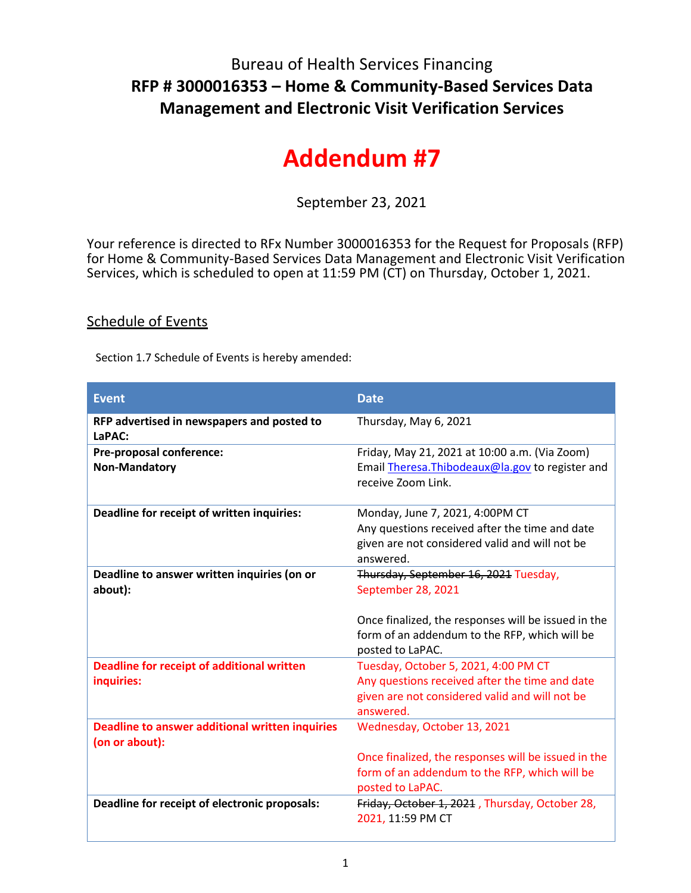## Bureau of Health Services Financing **RFP # 3000016353 – Home & Community-Based Services Data Management and Electronic Visit Verification Services**

## **Addendum #7**

September 23, 2021

Your reference is directed to RFx Number 3000016353 for the Request for Proposals (RFP) for Home & Community-Based Services Data Management and Electronic Visit Verification Services, which is scheduled to open at 11:59 PM (CT) on Thursday, October 1, 2021.

## Schedule of Events

Section 1.7 Schedule of Events is hereby amended:

| <b>Event</b>                                                      | <b>Date</b>                                                                                                              |
|-------------------------------------------------------------------|--------------------------------------------------------------------------------------------------------------------------|
| RFP advertised in newspapers and posted to<br>LaPAC:              | Thursday, May 6, 2021                                                                                                    |
| Pre-proposal conference:                                          | Friday, May 21, 2021 at 10:00 a.m. (Via Zoom)                                                                            |
| <b>Non-Mandatory</b>                                              | Email Theresa. Thibodeaux@la.gov to register and<br>receive Zoom Link.                                                   |
| Deadline for receipt of written inquiries:                        | Monday, June 7, 2021, 4:00PM CT                                                                                          |
|                                                                   | Any questions received after the time and date                                                                           |
|                                                                   | given are not considered valid and will not be<br>answered.                                                              |
| Deadline to answer written inquiries (on or                       | Thursday, September 16, 2021 Tuesday,                                                                                    |
| about):                                                           | September 28, 2021                                                                                                       |
|                                                                   | Once finalized, the responses will be issued in the<br>form of an addendum to the RFP, which will be<br>posted to LaPAC. |
| <b>Deadline for receipt of additional written</b>                 | Tuesday, October 5, 2021, 4:00 PM CT                                                                                     |
| inquiries:                                                        | Any questions received after the time and date                                                                           |
|                                                                   | given are not considered valid and will not be                                                                           |
|                                                                   | answered.                                                                                                                |
| Deadline to answer additional written inquiries<br>(on or about): | Wednesday, October 13, 2021                                                                                              |
|                                                                   | Once finalized, the responses will be issued in the                                                                      |
|                                                                   | form of an addendum to the RFP, which will be                                                                            |
|                                                                   | posted to LaPAC.                                                                                                         |
| Deadline for receipt of electronic proposals:                     | Friday, October 1, 2021, Thursday, October 28,<br>2021, 11:59 PM CT                                                      |